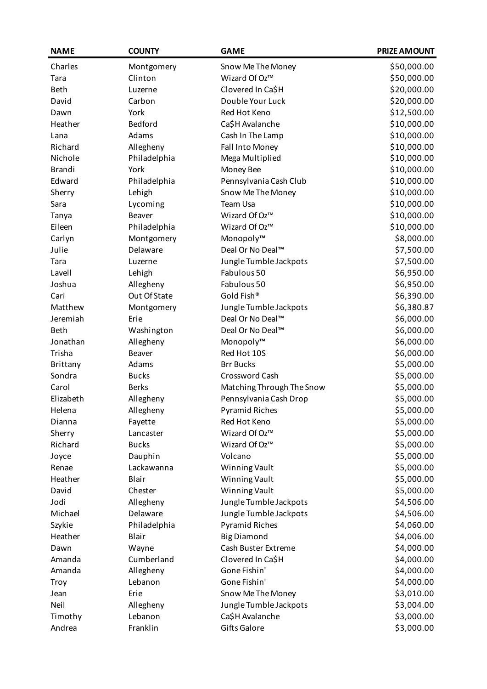| <b>NAME</b>   | <b>COUNTY</b> | <b>GAME</b>               | <b>PRIZE AMOUNT</b> |
|---------------|---------------|---------------------------|---------------------|
| Charles       | Montgomery    | Snow Me The Money         | \$50,000.00         |
| Tara          | Clinton       | Wizard Of Oz™             | \$50,000.00         |
| Beth          | Luzerne       | Clovered In Ca\$H         | \$20,000.00         |
| David         | Carbon        | Double Your Luck          | \$20,000.00         |
| Dawn          | York          | Red Hot Keno              | \$12,500.00         |
| Heather       | Bedford       | Ca\$H Avalanche           | \$10,000.00         |
| Lana          | Adams         | Cash In The Lamp          | \$10,000.00         |
| Richard       | Allegheny     | Fall Into Money           | \$10,000.00         |
| Nichole       | Philadelphia  | Mega Multiplied           | \$10,000.00         |
| <b>Brandi</b> | York          | Money Bee                 | \$10,000.00         |
| Edward        | Philadelphia  | Pennsylvania Cash Club    | \$10,000.00         |
| Sherry        | Lehigh        | Snow Me The Money         | \$10,000.00         |
| Sara          | Lycoming      | Team Usa                  | \$10,000.00         |
| Tanya         | Beaver        | Wizard Of Oz™             | \$10,000.00         |
| Eileen        | Philadelphia  | Wizard Of Oz™             | \$10,000.00         |
| Carlyn        | Montgomery    | Monopoly™                 | \$8,000.00          |
| Julie         | Delaware      | Deal Or No Deal™          | \$7,500.00          |
| Tara          | Luzerne       | Jungle Tumble Jackpots    | \$7,500.00          |
| Lavell        | Lehigh        | Fabulous 50               | \$6,950.00          |
| Joshua        | Allegheny     | Fabulous 50               | \$6,950.00          |
| Cari          | Out Of State  | Gold Fish®                | \$6,390.00          |
| Matthew       | Montgomery    | Jungle Tumble Jackpots    | \$6,380.87          |
| Jeremiah      | Erie          | Deal Or No Deal™          | \$6,000.00          |
| Beth          | Washington    | Deal Or No Deal™          | \$6,000.00          |
| Jonathan      | Allegheny     | Monopoly™                 | \$6,000.00          |
| Trisha        | Beaver        | Red Hot 10S               | \$6,000.00          |
| Brittany      | Adams         | <b>Brr Bucks</b>          | \$5,000.00          |
| Sondra        | <b>Bucks</b>  | Crossword Cash            | \$5,000.00          |
| Carol         | <b>Berks</b>  | Matching Through The Snow | \$5,000.00          |
| Elizabeth     | Allegheny     | Pennsylvania Cash Drop    | \$5,000.00          |
| Helena        | Allegheny     | <b>Pyramid Riches</b>     | \$5,000.00          |
| Dianna        | Fayette       | Red Hot Keno              | \$5,000.00          |
| Sherry        | Lancaster     | Wizard Of Oz™             | \$5,000.00          |
| Richard       | <b>Bucks</b>  | Wizard Of Oz™             | \$5,000.00          |
| Joyce         | Dauphin       | Volcano                   | \$5,000.00          |
| Renae         | Lackawanna    | Winning Vault             | \$5,000.00          |
| Heather       | Blair         | Winning Vault             | \$5,000.00          |
| David         | Chester       | Winning Vault             | \$5,000.00          |
| Jodi          | Allegheny     | Jungle Tumble Jackpots    | \$4,506.00          |
| Michael       | Delaware      | Jungle Tumble Jackpots    | \$4,506.00          |
| Szykie        | Philadelphia  | <b>Pyramid Riches</b>     | \$4,060.00          |
| Heather       | Blair         | <b>Big Diamond</b>        | \$4,006.00          |
| Dawn          | Wayne         | Cash Buster Extreme       | \$4,000.00          |
| Amanda        | Cumberland    | Clovered In Ca\$H         | \$4,000.00          |
| Amanda        | Allegheny     | Gone Fishin'              | \$4,000.00          |
| Troy          | Lebanon       | Gone Fishin'              | \$4,000.00          |
| Jean          | Erie          | Snow Me The Money         | \$3,010.00          |
| Neil          | Allegheny     | Jungle Tumble Jackpots    | \$3,004.00          |
| Timothy       | Lebanon       | Ca\$H Avalanche           | \$3,000.00          |
| Andrea        | Franklin      | <b>Gifts Galore</b>       | \$3,000.00          |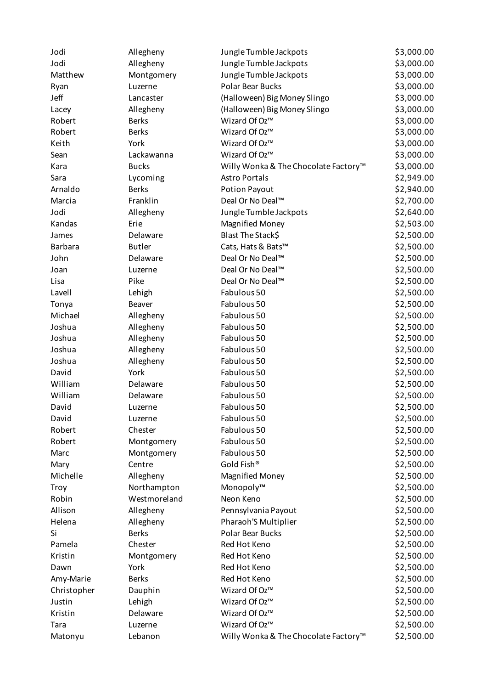| Jodi           | Allegheny     | Jungle Tumble Jackpots               | \$3,000.00 |
|----------------|---------------|--------------------------------------|------------|
| Jodi           | Allegheny     | Jungle Tumble Jackpots               | \$3,000.00 |
| Matthew        | Montgomery    | Jungle Tumble Jackpots               | \$3,000.00 |
| Ryan           | Luzerne       | <b>Polar Bear Bucks</b>              | \$3,000.00 |
| Jeff           | Lancaster     | (Halloween) Big Money Slingo         | \$3,000.00 |
| Lacey          | Allegheny     | (Halloween) Big Money Slingo         | \$3,000.00 |
| Robert         | <b>Berks</b>  | Wizard Of Oz™                        | \$3,000.00 |
| Robert         | <b>Berks</b>  | Wizard Of Oz™                        | \$3,000.00 |
| Keith          | York          | Wizard Of Oz™                        | \$3,000.00 |
| Sean           | Lackawanna    | Wizard Of Oz™                        | \$3,000.00 |
| Kara           | <b>Bucks</b>  | Willy Wonka & The Chocolate Factory™ | \$3,000.00 |
| Sara           | Lycoming      | <b>Astro Portals</b>                 | \$2,949.00 |
| Arnaldo        | <b>Berks</b>  | <b>Potion Payout</b>                 | \$2,940.00 |
| Marcia         | Franklin      | Deal Or No Deal™                     | \$2,700.00 |
| Jodi           | Allegheny     | Jungle Tumble Jackpots               | \$2,640.00 |
| Kandas         | Erie          | <b>Magnified Money</b>               | \$2,503.00 |
| James          | Delaware      | Blast The Stack\$                    | \$2,500.00 |
| <b>Barbara</b> | <b>Butler</b> | Cats, Hats & Bats™                   | \$2,500.00 |
| John           | Delaware      | Deal Or No Deal™                     | \$2,500.00 |
| Joan           | Luzerne       | Deal Or No Deal™                     | \$2,500.00 |
| Lisa           | Pike          | Deal Or No Deal™                     | \$2,500.00 |
| Lavell         | Lehigh        | Fabulous 50                          | \$2,500.00 |
| Tonya          | Beaver        | Fabulous 50                          | \$2,500.00 |
| Michael        | Allegheny     | Fabulous 50                          | \$2,500.00 |
| Joshua         | Allegheny     | Fabulous 50                          | \$2,500.00 |
| Joshua         | Allegheny     | Fabulous 50                          | \$2,500.00 |
| Joshua         | Allegheny     | Fabulous 50                          | \$2,500.00 |
| Joshua         | Allegheny     | Fabulous 50                          | \$2,500.00 |
| David          | York          | Fabulous 50                          | \$2,500.00 |
| William        | Delaware      | Fabulous 50                          | \$2,500.00 |
| William        | Delaware      | Fabulous 50                          | \$2,500.00 |
| David          | Luzerne       | Fabulous 50                          | \$2,500.00 |
| David          | Luzerne       | Fabulous 50                          | \$2,500.00 |
| Robert         | Chester       | Fabulous 50                          | \$2,500.00 |
| Robert         | Montgomery    | Fabulous 50                          | \$2,500.00 |
| Marc           | Montgomery    | Fabulous 50                          | \$2,500.00 |
| Mary           | Centre        | Gold Fish®                           | \$2,500.00 |
| Michelle       | Allegheny     | <b>Magnified Money</b>               | \$2,500.00 |
| <b>Troy</b>    | Northampton   | Monopoly™                            | \$2,500.00 |
| Robin          | Westmoreland  | Neon Keno                            | \$2,500.00 |
| Allison        | Allegheny     | Pennsylvania Payout                  | \$2,500.00 |
| Helena         | Allegheny     | Pharaoh'S Multiplier                 | \$2,500.00 |
| Si             | <b>Berks</b>  | Polar Bear Bucks                     | \$2,500.00 |
| Pamela         | Chester       | Red Hot Keno                         | \$2,500.00 |
| Kristin        | Montgomery    | Red Hot Keno                         | \$2,500.00 |
| Dawn           | York          | Red Hot Keno                         | \$2,500.00 |
| Amy-Marie      | <b>Berks</b>  | Red Hot Keno                         | \$2,500.00 |
| Christopher    | Dauphin       | Wizard Of Oz™                        | \$2,500.00 |
| Justin         | Lehigh        | Wizard Of Oz™                        | \$2,500.00 |
| Kristin        | Delaware      | Wizard Of Oz™                        | \$2,500.00 |
| Tara           | Luzerne       | Wizard Of Oz™                        | \$2,500.00 |
| Matonyu        | Lebanon       | Willy Wonka & The Chocolate Factory™ | \$2,500.00 |
|                |               |                                      |            |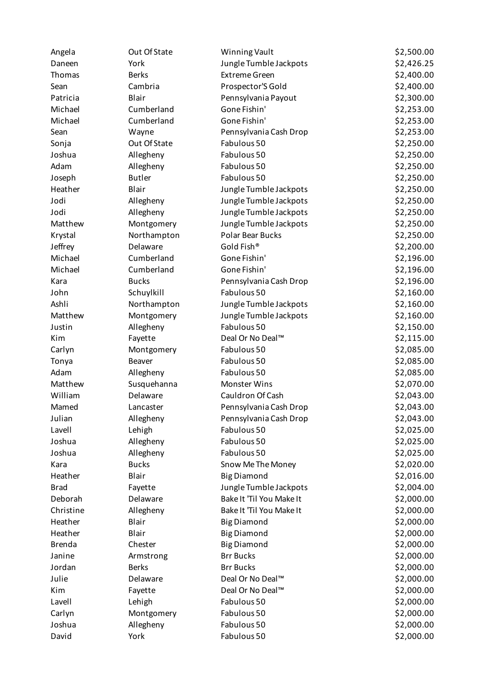| Angela        | Out Of State  | Winning Vault            | \$2,500.00 |
|---------------|---------------|--------------------------|------------|
| Daneen        | York          | Jungle Tumble Jackpots   | \$2,426.25 |
| Thomas        | <b>Berks</b>  | <b>Extreme Green</b>     | \$2,400.00 |
| Sean          | Cambria       | Prospector'S Gold        | \$2,400.00 |
| Patricia      | Blair         | Pennsylvania Payout      | \$2,300.00 |
| Michael       | Cumberland    | Gone Fishin'             | \$2,253.00 |
| Michael       | Cumberland    | Gone Fishin'             | \$2,253.00 |
| Sean          | Wayne         | Pennsylvania Cash Drop   | \$2,253.00 |
| Sonja         | Out Of State  | Fabulous 50              | \$2,250.00 |
| Joshua        | Allegheny     | Fabulous 50              | \$2,250.00 |
| Adam          | Allegheny     | Fabulous 50              | \$2,250.00 |
| Joseph        | <b>Butler</b> | Fabulous 50              | \$2,250.00 |
| Heather       | Blair         | Jungle Tumble Jackpots   | \$2,250.00 |
| Jodi          | Allegheny     | Jungle Tumble Jackpots   | \$2,250.00 |
| Jodi          | Allegheny     | Jungle Tumble Jackpots   | \$2,250.00 |
| Matthew       | Montgomery    | Jungle Tumble Jackpots   | \$2,250.00 |
| Krystal       | Northampton   | Polar Bear Bucks         | \$2,250.00 |
| Jeffrey       | Delaware      | Gold Fish®               | \$2,200.00 |
| Michael       | Cumberland    | Gone Fishin'             | \$2,196.00 |
| Michael       | Cumberland    | Gone Fishin'             | \$2,196.00 |
| Kara          | <b>Bucks</b>  | Pennsylvania Cash Drop   | \$2,196.00 |
| John          | Schuylkill    | Fabulous 50              | \$2,160.00 |
| Ashli         | Northampton   | Jungle Tumble Jackpots   | \$2,160.00 |
| Matthew       | Montgomery    | Jungle Tumble Jackpots   | \$2,160.00 |
| Justin        | Allegheny     | Fabulous 50              | \$2,150.00 |
| Kim           | Fayette       | Deal Or No Deal™         | \$2,115.00 |
| Carlyn        | Montgomery    | Fabulous 50              | \$2,085.00 |
| Tonya         | <b>Beaver</b> | Fabulous 50              | \$2,085.00 |
| Adam          | Allegheny     | Fabulous 50              | \$2,085.00 |
| Matthew       | Susquehanna   | Monster Wins             | \$2,070.00 |
| William       | Delaware      | Cauldron Of Cash         | \$2,043.00 |
| Mamed         | Lancaster     | Pennsylvania Cash Drop   | \$2,043.00 |
| Julian        | Allegheny     | Pennsylvania Cash Drop   | \$2,043.00 |
| Lavell        | Lehigh        | Fabulous 50              | \$2,025.00 |
| Joshua        | Allegheny     | Fabulous 50              | \$2,025.00 |
| Joshua        | Allegheny     | Fabulous 50              | \$2,025.00 |
| Kara          | <b>Bucks</b>  | Snow Me The Money        | \$2,020.00 |
| Heather       | Blair         | <b>Big Diamond</b>       | \$2,016.00 |
| <b>Brad</b>   | Fayette       | Jungle Tumble Jackpots   | \$2,004.00 |
| Deborah       | Delaware      | Bake It 'Til You Make It | \$2,000.00 |
| Christine     | Allegheny     | Bake It 'Til You Make It | \$2,000.00 |
| Heather       | Blair         | <b>Big Diamond</b>       | \$2,000.00 |
| Heather       | Blair         | <b>Big Diamond</b>       | \$2,000.00 |
| <b>Brenda</b> | Chester       | <b>Big Diamond</b>       | \$2,000.00 |
| Janine        | Armstrong     | <b>Brr Bucks</b>         | \$2,000.00 |
| Jordan        | <b>Berks</b>  | <b>Brr Bucks</b>         | \$2,000.00 |
| Julie         | Delaware      | Deal Or No Deal™         | \$2,000.00 |
| Kim           | Fayette       | Deal Or No Deal™         | \$2,000.00 |
| Lavell        | Lehigh        | Fabulous 50              | \$2,000.00 |
| Carlyn        | Montgomery    | Fabulous 50              | \$2,000.00 |
| Joshua        | Allegheny     | Fabulous 50              | \$2,000.00 |
| David         | York          | Fabulous 50              | \$2,000.00 |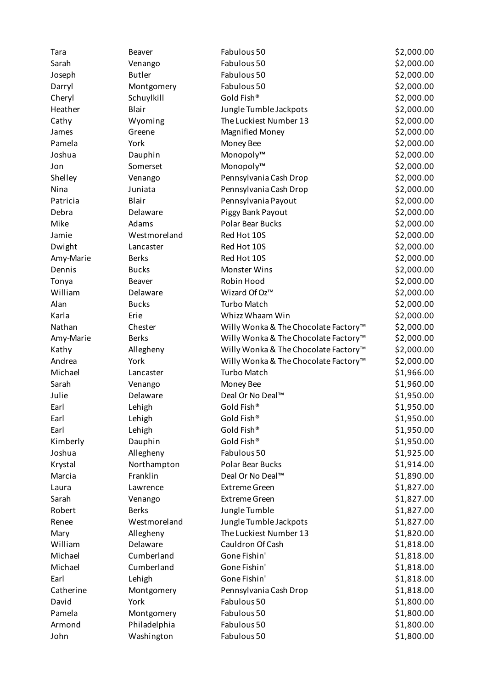| Tara      | Beaver        | Fabulous 50                          | \$2,000.00 |
|-----------|---------------|--------------------------------------|------------|
| Sarah     | Venango       | Fabulous 50                          | \$2,000.00 |
| Joseph    | <b>Butler</b> | Fabulous 50                          | \$2,000.00 |
| Darryl    | Montgomery    | Fabulous 50                          | \$2,000.00 |
| Cheryl    | Schuylkill    | Gold Fish®                           | \$2,000.00 |
| Heather   | Blair         | Jungle Tumble Jackpots               | \$2,000.00 |
| Cathy     | Wyoming       | The Luckiest Number 13               | \$2,000.00 |
| James     | Greene        | <b>Magnified Money</b>               | \$2,000.00 |
| Pamela    | York          | Money Bee                            | \$2,000.00 |
| Joshua    | Dauphin       | Monopoly™                            | \$2,000.00 |
| Jon       | Somerset      | Monopoly™                            | \$2,000.00 |
| Shelley   | Venango       | Pennsylvania Cash Drop               | \$2,000.00 |
| Nina      | Juniata       | Pennsylvania Cash Drop               | \$2,000.00 |
| Patricia  | Blair         | Pennsylvania Payout                  | \$2,000.00 |
| Debra     | Delaware      | Piggy Bank Payout                    | \$2,000.00 |
| Mike      | Adams         | Polar Bear Bucks                     | \$2,000.00 |
| Jamie     | Westmoreland  | Red Hot 10S                          | \$2,000.00 |
| Dwight    | Lancaster     | Red Hot 10S                          | \$2,000.00 |
| Amy-Marie | <b>Berks</b>  | Red Hot 10S                          | \$2,000.00 |
| Dennis    | <b>Bucks</b>  | <b>Monster Wins</b>                  | \$2,000.00 |
| Tonya     | Beaver        | Robin Hood                           | \$2,000.00 |
| William   | Delaware      | Wizard Of Oz™                        | \$2,000.00 |
| Alan      | <b>Bucks</b>  | <b>Turbo Match</b>                   | \$2,000.00 |
| Karla     | Erie          | Whizz Whaam Win                      | \$2,000.00 |
| Nathan    | Chester       | Willy Wonka & The Chocolate Factory™ | \$2,000.00 |
| Amy-Marie | <b>Berks</b>  | Willy Wonka & The Chocolate Factory™ | \$2,000.00 |
| Kathy     | Allegheny     | Willy Wonka & The Chocolate Factory™ | \$2,000.00 |
| Andrea    | York          | Willy Wonka & The Chocolate Factory™ | \$2,000.00 |
| Michael   | Lancaster     | <b>Turbo Match</b>                   | \$1,966.00 |
| Sarah     | Venango       | Money Bee                            | \$1,960.00 |
| Julie     | Delaware      | Deal Or No Deal™                     | \$1,950.00 |
| Earl      | Lehigh        | Gold Fish®                           | \$1,950.00 |
| Earl      | Lehigh        | Gold Fish®                           | \$1,950.00 |
| Earl      | Lehigh        | Gold Fish®                           | \$1,950.00 |
| Kimberly  | Dauphin       | Gold Fish®                           | \$1,950.00 |
| Joshua    | Allegheny     | Fabulous 50                          | \$1,925.00 |
| Krystal   | Northampton   | Polar Bear Bucks                     | \$1,914.00 |
| Marcia    | Franklin      | Deal Or No Deal™                     | \$1,890.00 |
| Laura     | Lawrence      | <b>Extreme Green</b>                 | \$1,827.00 |
| Sarah     | Venango       | <b>Extreme Green</b>                 | \$1,827.00 |
| Robert    | <b>Berks</b>  | Jungle Tumble                        | \$1,827.00 |
| Renee     | Westmoreland  | Jungle Tumble Jackpots               | \$1,827.00 |
| Mary      | Allegheny     | The Luckiest Number 13               | \$1,820.00 |
| William   | Delaware      | Cauldron Of Cash                     | \$1,818.00 |
| Michael   | Cumberland    | Gone Fishin'                         | \$1,818.00 |
| Michael   | Cumberland    | Gone Fishin'                         | \$1,818.00 |
| Earl      | Lehigh        | Gone Fishin'                         | \$1,818.00 |
| Catherine | Montgomery    | Pennsylvania Cash Drop               | \$1,818.00 |
| David     | York          | Fabulous 50                          | \$1,800.00 |
| Pamela    | Montgomery    | Fabulous 50                          | \$1,800.00 |
| Armond    | Philadelphia  | Fabulous 50                          | \$1,800.00 |
| John      | Washington    | Fabulous 50                          | \$1,800.00 |
|           |               |                                      |            |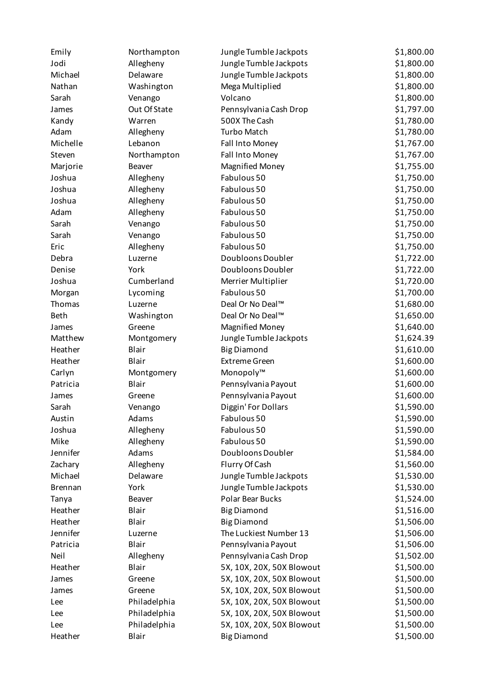| Emily          | Northampton  | Jungle Tumble Jackpots    | \$1,800.00 |
|----------------|--------------|---------------------------|------------|
| Jodi           | Allegheny    | Jungle Tumble Jackpots    | \$1,800.00 |
| Michael        | Delaware     | Jungle Tumble Jackpots    | \$1,800.00 |
| Nathan         | Washington   | Mega Multiplied           | \$1,800.00 |
| Sarah          | Venango      | Volcano                   | \$1,800.00 |
| James          | Out Of State | Pennsylvania Cash Drop    | \$1,797.00 |
| Kandy          | Warren       | 500X The Cash             | \$1,780.00 |
| Adam           | Allegheny    | <b>Turbo Match</b>        | \$1,780.00 |
| Michelle       | Lebanon      | Fall Into Money           | \$1,767.00 |
| Steven         | Northampton  | Fall Into Money           | \$1,767.00 |
| Marjorie       | Beaver       | <b>Magnified Money</b>    | \$1,755.00 |
| Joshua         | Allegheny    | Fabulous 50               | \$1,750.00 |
| Joshua         | Allegheny    | Fabulous 50               | \$1,750.00 |
| Joshua         | Allegheny    | Fabulous 50               | \$1,750.00 |
| Adam           | Allegheny    | Fabulous 50               | \$1,750.00 |
| Sarah          | Venango      | Fabulous 50               | \$1,750.00 |
| Sarah          | Venango      | Fabulous 50               | \$1,750.00 |
| Eric           | Allegheny    | Fabulous 50               | \$1,750.00 |
| Debra          | Luzerne      | Doubloons Doubler         | \$1,722.00 |
| Denise         | York         | Doubloons Doubler         | \$1,722.00 |
| Joshua         | Cumberland   | Merrier Multiplier        | \$1,720.00 |
| Morgan         | Lycoming     | Fabulous 50               | \$1,700.00 |
| Thomas         | Luzerne      | Deal Or No Deal™          | \$1,680.00 |
| <b>Beth</b>    | Washington   | Deal Or No Deal™          | \$1,650.00 |
| James          | Greene       | <b>Magnified Money</b>    | \$1,640.00 |
| Matthew        | Montgomery   | Jungle Tumble Jackpots    | \$1,624.39 |
| Heather        | Blair        | <b>Big Diamond</b>        | \$1,610.00 |
| Heather        | Blair        | <b>Extreme Green</b>      | \$1,600.00 |
| Carlyn         | Montgomery   | Monopoly™                 | \$1,600.00 |
| Patricia       | Blair        | Pennsylvania Payout       | \$1,600.00 |
| James          | Greene       | Pennsylvania Payout       | \$1,600.00 |
| Sarah          | Venango      | Diggin' For Dollars       | \$1,590.00 |
| Austin         | Adams        | Fabulous 50               | \$1,590.00 |
| Joshua         | Allegheny    | Fabulous 50               | \$1,590.00 |
| Mike           | Allegheny    | Fabulous 50               | \$1,590.00 |
| Jennifer       | Adams        | Doubloons Doubler         | \$1,584.00 |
| Zachary        | Allegheny    | Flurry Of Cash            | \$1,560.00 |
| Michael        | Delaware     | Jungle Tumble Jackpots    | \$1,530.00 |
| <b>Brennan</b> | York         | Jungle Tumble Jackpots    | \$1,530.00 |
| Tanya          | Beaver       | Polar Bear Bucks          | \$1,524.00 |
| Heather        | Blair        | <b>Big Diamond</b>        | \$1,516.00 |
| Heather        | Blair        | <b>Big Diamond</b>        | \$1,506.00 |
| Jennifer       | Luzerne      | The Luckiest Number 13    | \$1,506.00 |
| Patricia       | Blair        | Pennsylvania Payout       | \$1,506.00 |
| Neil           | Allegheny    | Pennsylvania Cash Drop    | \$1,502.00 |
| Heather        | Blair        | 5X, 10X, 20X, 50X Blowout | \$1,500.00 |
| James          | Greene       | 5X, 10X, 20X, 50X Blowout | \$1,500.00 |
| James          | Greene       | 5X, 10X, 20X, 50X Blowout | \$1,500.00 |
| Lee            | Philadelphia | 5X, 10X, 20X, 50X Blowout | \$1,500.00 |
| Lee            | Philadelphia | 5X, 10X, 20X, 50X Blowout | \$1,500.00 |
| Lee            | Philadelphia | 5X, 10X, 20X, 50X Blowout | \$1,500.00 |
| Heather        | Blair        | <b>Big Diamond</b>        | \$1,500.00 |
|                |              |                           |            |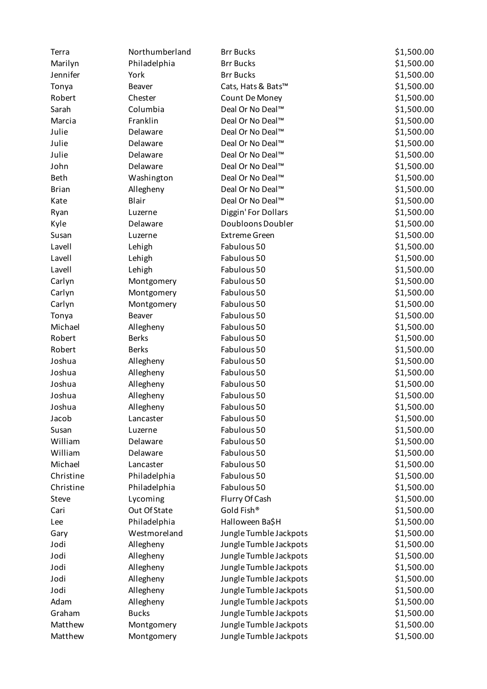| Terra        | Northumberland | <b>Brr Bucks</b>       | \$1,500.00 |
|--------------|----------------|------------------------|------------|
| Marilyn      | Philadelphia   | <b>Brr Bucks</b>       | \$1,500.00 |
| Jennifer     | York           | <b>Brr Bucks</b>       | \$1,500.00 |
| Tonya        | Beaver         | Cats, Hats & Bats™     | \$1,500.00 |
| Robert       | Chester        | Count De Money         | \$1,500.00 |
| Sarah        | Columbia       | Deal Or No Deal™       | \$1,500.00 |
| Marcia       | Franklin       | Deal Or No Deal™       | \$1,500.00 |
| Julie        | Delaware       | Deal Or No Deal™       | \$1,500.00 |
| Julie        | Delaware       | Deal Or No Deal™       | \$1,500.00 |
| Julie        | Delaware       | Deal Or No Deal™       | \$1,500.00 |
| John         | Delaware       | Deal Or No Deal™       | \$1,500.00 |
| <b>Beth</b>  | Washington     | Deal Or No Deal™       | \$1,500.00 |
| <b>Brian</b> | Allegheny      | Deal Or No Deal™       | \$1,500.00 |
| Kate         | Blair          | Deal Or No Deal™       | \$1,500.00 |
| Ryan         | Luzerne        | Diggin' For Dollars    | \$1,500.00 |
| Kyle         | Delaware       | Doubloons Doubler      | \$1,500.00 |
| Susan        | Luzerne        | <b>Extreme Green</b>   | \$1,500.00 |
| Lavell       | Lehigh         | Fabulous 50            | \$1,500.00 |
| Lavell       | Lehigh         | Fabulous 50            | \$1,500.00 |
| Lavell       | Lehigh         | Fabulous 50            | \$1,500.00 |
| Carlyn       | Montgomery     | Fabulous 50            | \$1,500.00 |
| Carlyn       | Montgomery     | Fabulous 50            | \$1,500.00 |
| Carlyn       | Montgomery     | Fabulous 50            | \$1,500.00 |
| Tonya        | Beaver         | Fabulous 50            | \$1,500.00 |
| Michael      | Allegheny      | Fabulous 50            | \$1,500.00 |
| Robert       | <b>Berks</b>   | Fabulous 50            | \$1,500.00 |
| Robert       | <b>Berks</b>   | Fabulous 50            | \$1,500.00 |
| Joshua       | Allegheny      | Fabulous 50            | \$1,500.00 |
| Joshua       | Allegheny      | Fabulous 50            | \$1,500.00 |
| Joshua       | Allegheny      | Fabulous 50            | \$1,500.00 |
| Joshua       | Allegheny      | Fabulous 50            | \$1,500.00 |
| Joshua       | Allegheny      | Fabulous 50            | \$1,500.00 |
| Jacob        | Lancaster      | Fabulous 50            | \$1,500.00 |
| Susan        | Luzerne        | Fabulous 50            | \$1,500.00 |
| William      | Delaware       | Fabulous 50            | \$1,500.00 |
| William      | Delaware       | Fabulous 50            | \$1,500.00 |
| Michael      | Lancaster      | Fabulous 50            | \$1,500.00 |
| Christine    | Philadelphia   | Fabulous 50            | \$1,500.00 |
| Christine    | Philadelphia   | Fabulous 50            | \$1,500.00 |
| Steve        | Lycoming       | Flurry Of Cash         | \$1,500.00 |
| Cari         | Out Of State   | Gold Fish®             | \$1,500.00 |
| Lee          | Philadelphia   | Halloween Ba\$H        | \$1,500.00 |
| Gary         | Westmoreland   | Jungle Tumble Jackpots | \$1,500.00 |
| Jodi         | Allegheny      | Jungle Tumble Jackpots | \$1,500.00 |
| Jodi         | Allegheny      | Jungle Tumble Jackpots | \$1,500.00 |
| Jodi         | Allegheny      | Jungle Tumble Jackpots | \$1,500.00 |
| Jodi         | Allegheny      | Jungle Tumble Jackpots | \$1,500.00 |
| Jodi         | Allegheny      | Jungle Tumble Jackpots | \$1,500.00 |
| Adam         | Allegheny      | Jungle Tumble Jackpots | \$1,500.00 |
| Graham       | <b>Bucks</b>   | Jungle Tumble Jackpots | \$1,500.00 |
| Matthew      | Montgomery     | Jungle Tumble Jackpots | \$1,500.00 |
| Matthew      | Montgomery     | Jungle Tumble Jackpots | \$1,500.00 |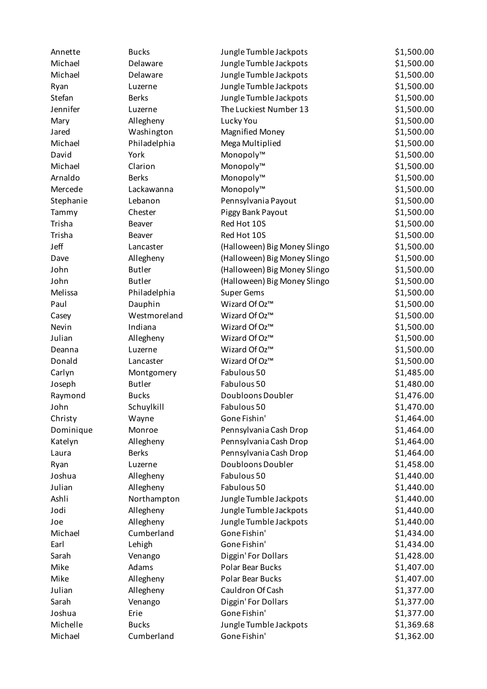| Annette   | <b>Bucks</b>           | Jungle Tumble Jackpots       | \$1,500.00 |
|-----------|------------------------|------------------------------|------------|
| Michael   | Delaware               | Jungle Tumble Jackpots       | \$1,500.00 |
| Michael   | Delaware               | Jungle Tumble Jackpots       | \$1,500.00 |
| Ryan      | Luzerne                | Jungle Tumble Jackpots       | \$1,500.00 |
| Stefan    | <b>Berks</b>           | Jungle Tumble Jackpots       | \$1,500.00 |
| Jennifer  | Luzerne                | The Luckiest Number 13       | \$1,500.00 |
| Mary      | Allegheny              | Lucky You                    | \$1,500.00 |
| Jared     | Washington             | <b>Magnified Money</b>       | \$1,500.00 |
| Michael   | Philadelphia           | Mega Multiplied              | \$1,500.00 |
| David     | York                   | Monopoly™                    | \$1,500.00 |
| Michael   | Clarion                | Monopoly™                    | \$1,500.00 |
| Arnaldo   | <b>Berks</b>           | Monopoly™                    | \$1,500.00 |
| Mercede   | Lackawanna             | Monopoly™                    | \$1,500.00 |
| Stephanie | Lebanon                | Pennsylvania Payout          | \$1,500.00 |
| Tammy     | Chester                | Piggy Bank Payout            | \$1,500.00 |
| Trisha    | Beaver                 | Red Hot 10S                  | \$1,500.00 |
| Trisha    | Beaver                 | Red Hot 10S                  | \$1,500.00 |
| Jeff      | Lancaster              | (Halloween) Big Money Slingo | \$1,500.00 |
| Dave      | Allegheny              | (Halloween) Big Money Slingo | \$1,500.00 |
| John      | <b>Butler</b>          | (Halloween) Big Money Slingo | \$1,500.00 |
| John      | <b>Butler</b>          | (Halloween) Big Money Slingo | \$1,500.00 |
| Melissa   | Philadelphia           | <b>Super Gems</b>            | \$1,500.00 |
| Paul      | Dauphin                | Wizard Of Oz™                | \$1,500.00 |
| Casey     | Westmoreland           | Wizard Of Oz™                | \$1,500.00 |
| Nevin     | Indiana                | Wizard Of Oz™                | \$1,500.00 |
| Julian    | Allegheny              | Wizard Of Oz™                | \$1,500.00 |
| Deanna    | Luzerne                | Wizard Of Oz™                | \$1,500.00 |
| Donald    | Lancaster              | Wizard Of Oz™                | \$1,500.00 |
| Carlyn    | Montgomery             | Fabulous 50                  | \$1,485.00 |
| Joseph    | <b>Butler</b>          | Fabulous 50                  | \$1,480.00 |
| Raymond   | <b>Bucks</b>           | Doubloons Doubler            | \$1,476.00 |
| John      | Schuylkill             | Fabulous 50                  | \$1,470.00 |
| Christy   | Wayne                  | Gone Fishin'                 | \$1,464.00 |
| Dominique | Monroe                 | Pennsylvania Cash Drop       | \$1,464.00 |
| Katelyn   | Allegheny              | Pennsylvania Cash Drop       | \$1,464.00 |
| Laura     | <b>Berks</b>           | Pennsylvania Cash Drop       | \$1,464.00 |
| Ryan      | Luzerne                | Doubloons Doubler            | \$1,458.00 |
| Joshua    | Allegheny              | Fabulous 50                  | \$1,440.00 |
| Julian    | Allegheny              | Fabulous 50                  | \$1,440.00 |
| Ashli     | Northampton            | Jungle Tumble Jackpots       | \$1,440.00 |
| Jodi      | Allegheny              | Jungle Tumble Jackpots       | \$1,440.00 |
| Joe       | Allegheny              | Jungle Tumble Jackpots       | \$1,440.00 |
| Michael   | Cumberland             | Gone Fishin'                 | \$1,434.00 |
| Earl      | Lehigh                 | Gone Fishin'                 | \$1,434.00 |
| Sarah     | Venango                | Diggin' For Dollars          | \$1,428.00 |
| Mike      | Adams                  | Polar Bear Bucks             | \$1,407.00 |
| Mike      |                        | Polar Bear Bucks             | \$1,407.00 |
| Julian    | Allegheny<br>Allegheny | Cauldron Of Cash             | \$1,377.00 |
| Sarah     | Venango                | Diggin' For Dollars          | \$1,377.00 |
| Joshua    | Erie                   | Gone Fishin'                 | \$1,377.00 |
| Michelle  | <b>Bucks</b>           | Jungle Tumble Jackpots       | \$1,369.68 |
| Michael   |                        |                              | \$1,362.00 |
|           | Cumberland             | Gone Fishin'                 |            |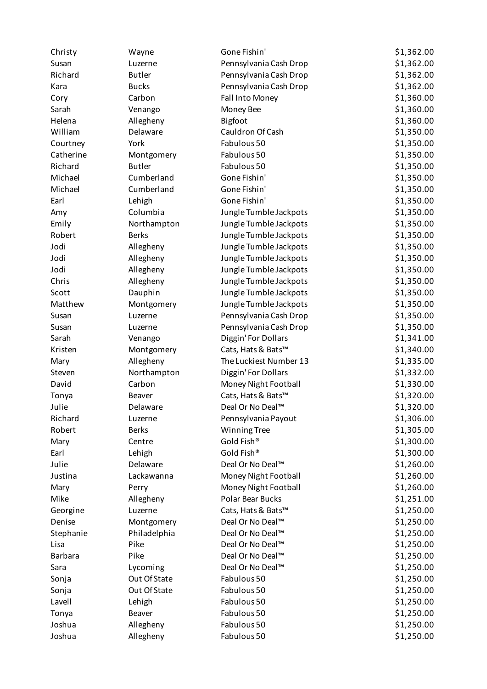| Christy        | Wayne         | Gone Fishin'           | \$1,362.00 |
|----------------|---------------|------------------------|------------|
| Susan          | Luzerne       | Pennsylvania Cash Drop | \$1,362.00 |
| Richard        | <b>Butler</b> | Pennsylvania Cash Drop | \$1,362.00 |
| Kara           | <b>Bucks</b>  | Pennsylvania Cash Drop | \$1,362.00 |
| Cory           | Carbon        | Fall Into Money        | \$1,360.00 |
| Sarah          | Venango       | Money Bee              | \$1,360.00 |
| Helena         | Allegheny     | Bigfoot                | \$1,360.00 |
| William        | Delaware      | Cauldron Of Cash       | \$1,350.00 |
| Courtney       | York          | Fabulous 50            | \$1,350.00 |
| Catherine      | Montgomery    | Fabulous 50            | \$1,350.00 |
| Richard        | <b>Butler</b> | Fabulous 50            | \$1,350.00 |
| Michael        | Cumberland    | Gone Fishin'           | \$1,350.00 |
| Michael        | Cumberland    | Gone Fishin'           | \$1,350.00 |
| Earl           | Lehigh        | Gone Fishin'           | \$1,350.00 |
| Amy            | Columbia      | Jungle Tumble Jackpots | \$1,350.00 |
| Emily          | Northampton   | Jungle Tumble Jackpots | \$1,350.00 |
| Robert         | <b>Berks</b>  | Jungle Tumble Jackpots | \$1,350.00 |
| Jodi           | Allegheny     | Jungle Tumble Jackpots | \$1,350.00 |
| Jodi           | Allegheny     | Jungle Tumble Jackpots | \$1,350.00 |
| Jodi           | Allegheny     | Jungle Tumble Jackpots | \$1,350.00 |
| Chris          | Allegheny     | Jungle Tumble Jackpots | \$1,350.00 |
| Scott          | Dauphin       | Jungle Tumble Jackpots | \$1,350.00 |
| Matthew        | Montgomery    | Jungle Tumble Jackpots | \$1,350.00 |
| Susan          | Luzerne       | Pennsylvania Cash Drop | \$1,350.00 |
| Susan          | Luzerne       | Pennsylvania Cash Drop | \$1,350.00 |
| Sarah          | Venango       | Diggin' For Dollars    | \$1,341.00 |
| Kristen        | Montgomery    | Cats, Hats & Bats™     | \$1,340.00 |
| Mary           | Allegheny     | The Luckiest Number 13 | \$1,335.00 |
| Steven         | Northampton   | Diggin' For Dollars    | \$1,332.00 |
| David          | Carbon        | Money Night Football   | \$1,330.00 |
| Tonya          | Beaver        | Cats, Hats & Bats™     | \$1,320.00 |
| Julie          | Delaware      | Deal Or No Deal™       | \$1,320.00 |
| Richard        | Luzerne       | Pennsylvania Payout    | \$1,306.00 |
| Robert         | <b>Berks</b>  | <b>Winning Tree</b>    | \$1,305.00 |
| Mary           | Centre        | Gold Fish®             | \$1,300.00 |
| Earl           | Lehigh        | Gold Fish®             | \$1,300.00 |
| Julie          | Delaware      | Deal Or No Deal™       | \$1,260.00 |
| Justina        | Lackawanna    | Money Night Football   | \$1,260.00 |
| Mary           | Perry         | Money Night Football   | \$1,260.00 |
| Mike           | Allegheny     | Polar Bear Bucks       | \$1,251.00 |
| Georgine       | Luzerne       | Cats, Hats & Bats™     | \$1,250.00 |
| Denise         | Montgomery    | Deal Or No Deal™       | \$1,250.00 |
| Stephanie      | Philadelphia  | Deal Or No Deal™       | \$1,250.00 |
| Lisa           | Pike          | Deal Or No Deal™       | \$1,250.00 |
| <b>Barbara</b> | Pike          | Deal Or No Deal™       | \$1,250.00 |
| Sara           | Lycoming      | Deal Or No Deal™       | \$1,250.00 |
| Sonja          | Out Of State  | Fabulous 50            | \$1,250.00 |
| Sonja          | Out Of State  | Fabulous 50            | \$1,250.00 |
| Lavell         | Lehigh        | Fabulous 50            | \$1,250.00 |
| Tonya          | Beaver        | Fabulous 50            | \$1,250.00 |
| Joshua         | Allegheny     | Fabulous 50            | \$1,250.00 |
| Joshua         | Allegheny     | Fabulous 50            | \$1,250.00 |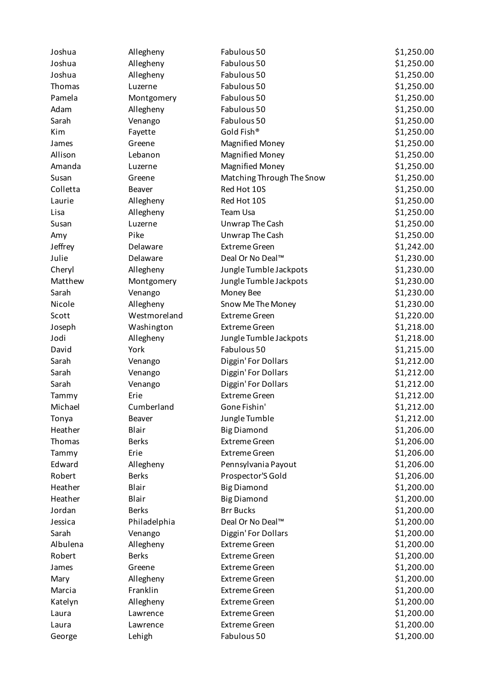| Joshua   | Allegheny    | Fabulous 50               | \$1,250.00 |
|----------|--------------|---------------------------|------------|
| Joshua   | Allegheny    | Fabulous 50               | \$1,250.00 |
| Joshua   | Allegheny    | Fabulous 50               | \$1,250.00 |
| Thomas   | Luzerne      | Fabulous 50               | \$1,250.00 |
| Pamela   | Montgomery   | Fabulous 50               | \$1,250.00 |
| Adam     | Allegheny    | Fabulous 50               | \$1,250.00 |
| Sarah    | Venango      | Fabulous 50               | \$1,250.00 |
| Kim      | Fayette      | Gold Fish®                | \$1,250.00 |
| James    | Greene       | <b>Magnified Money</b>    | \$1,250.00 |
| Allison  | Lebanon      | <b>Magnified Money</b>    | \$1,250.00 |
| Amanda   | Luzerne      | <b>Magnified Money</b>    | \$1,250.00 |
| Susan    | Greene       | Matching Through The Snow | \$1,250.00 |
| Colletta | Beaver       | Red Hot 10S               | \$1,250.00 |
| Laurie   | Allegheny    | Red Hot 10S               | \$1,250.00 |
| Lisa     | Allegheny    | Team Usa                  | \$1,250.00 |
| Susan    | Luzerne      | Unwrap The Cash           | \$1,250.00 |
| Amy      | Pike         | Unwrap The Cash           | \$1,250.00 |
| Jeffrey  | Delaware     | <b>Extreme Green</b>      | \$1,242.00 |
| Julie    | Delaware     | Deal Or No Deal™          | \$1,230.00 |
| Cheryl   | Allegheny    | Jungle Tumble Jackpots    | \$1,230.00 |
| Matthew  | Montgomery   | Jungle Tumble Jackpots    | \$1,230.00 |
| Sarah    | Venango      | Money Bee                 | \$1,230.00 |
| Nicole   | Allegheny    | Snow Me The Money         | \$1,230.00 |
| Scott    | Westmoreland | <b>Extreme Green</b>      | \$1,220.00 |
| Joseph   | Washington   | <b>Extreme Green</b>      | \$1,218.00 |
| Jodi     | Allegheny    | Jungle Tumble Jackpots    | \$1,218.00 |
| David    | York         | Fabulous 50               | \$1,215.00 |
| Sarah    | Venango      | Diggin' For Dollars       | \$1,212.00 |
| Sarah    | Venango      | Diggin' For Dollars       | \$1,212.00 |
| Sarah    | Venango      | Diggin' For Dollars       | \$1,212.00 |
| Tammy    | Erie         | <b>Extreme Green</b>      | \$1,212.00 |
| Michael  | Cumberland   | Gone Fishin'              | \$1,212.00 |
| Tonya    | Beaver       | Jungle Tumble             | \$1,212.00 |
| Heather  | Blair        | <b>Big Diamond</b>        | \$1,206.00 |
| Thomas   | <b>Berks</b> | <b>Extreme Green</b>      | \$1,206.00 |
| Tammy    | Erie         | <b>Extreme Green</b>      | \$1,206.00 |
| Edward   | Allegheny    | Pennsylvania Payout       | \$1,206.00 |
| Robert   | <b>Berks</b> | Prospector'S Gold         | \$1,206.00 |
| Heather  | Blair        | <b>Big Diamond</b>        | \$1,200.00 |
| Heather  | Blair        | <b>Big Diamond</b>        | \$1,200.00 |
| Jordan   | <b>Berks</b> | <b>Brr Bucks</b>          | \$1,200.00 |
| Jessica  | Philadelphia | Deal Or No Deal™          | \$1,200.00 |
| Sarah    | Venango      | Diggin' For Dollars       | \$1,200.00 |
| Albulena | Allegheny    | <b>Extreme Green</b>      | \$1,200.00 |
| Robert   | <b>Berks</b> | <b>Extreme Green</b>      | \$1,200.00 |
| James    | Greene       | <b>Extreme Green</b>      | \$1,200.00 |
| Mary     | Allegheny    | <b>Extreme Green</b>      | \$1,200.00 |
| Marcia   | Franklin     | <b>Extreme Green</b>      | \$1,200.00 |
| Katelyn  | Allegheny    | <b>Extreme Green</b>      | \$1,200.00 |
| Laura    | Lawrence     | <b>Extreme Green</b>      | \$1,200.00 |
| Laura    | Lawrence     | <b>Extreme Green</b>      | \$1,200.00 |
| George   | Lehigh       | Fabulous 50               | \$1,200.00 |
|          |              |                           |            |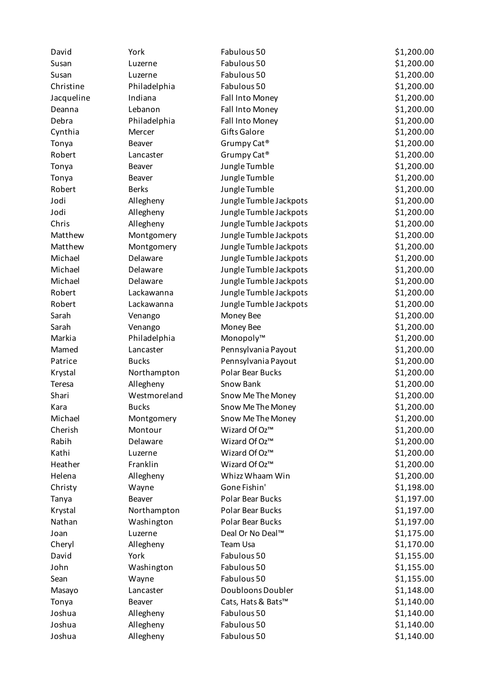| David      | York         | Fabulous 50             | \$1,200.00 |
|------------|--------------|-------------------------|------------|
| Susan      | Luzerne      | Fabulous 50             | \$1,200.00 |
| Susan      | Luzerne      | Fabulous 50             | \$1,200.00 |
| Christine  | Philadelphia | Fabulous 50             | \$1,200.00 |
| Jacqueline | Indiana      | Fall Into Money         | \$1,200.00 |
| Deanna     | Lebanon      | Fall Into Money         | \$1,200.00 |
| Debra      | Philadelphia | Fall Into Money         | \$1,200.00 |
| Cynthia    | Mercer       | Gifts Galore            | \$1,200.00 |
| Tonya      | Beaver       | Grumpy Cat <sup>®</sup> | \$1,200.00 |
| Robert     | Lancaster    | Grumpy Cat <sup>®</sup> | \$1,200.00 |
| Tonya      | Beaver       | Jungle Tumble           | \$1,200.00 |
| Tonya      | Beaver       | Jungle Tumble           | \$1,200.00 |
| Robert     | <b>Berks</b> | Jungle Tumble           | \$1,200.00 |
| Jodi       | Allegheny    | Jungle Tumble Jackpots  | \$1,200.00 |
| Jodi       | Allegheny    | Jungle Tumble Jackpots  | \$1,200.00 |
| Chris      | Allegheny    | Jungle Tumble Jackpots  | \$1,200.00 |
| Matthew    | Montgomery   | Jungle Tumble Jackpots  | \$1,200.00 |
| Matthew    | Montgomery   | Jungle Tumble Jackpots  | \$1,200.00 |
| Michael    | Delaware     | Jungle Tumble Jackpots  | \$1,200.00 |
| Michael    | Delaware     | Jungle Tumble Jackpots  | \$1,200.00 |
| Michael    | Delaware     | Jungle Tumble Jackpots  | \$1,200.00 |
| Robert     | Lackawanna   | Jungle Tumble Jackpots  | \$1,200.00 |
| Robert     | Lackawanna   | Jungle Tumble Jackpots  | \$1,200.00 |
| Sarah      | Venango      | Money Bee               | \$1,200.00 |
| Sarah      | Venango      | Money Bee               | \$1,200.00 |
| Markia     | Philadelphia | Monopoly™               | \$1,200.00 |
| Mamed      | Lancaster    | Pennsylvania Payout     | \$1,200.00 |
| Patrice    | <b>Bucks</b> | Pennsylvania Payout     | \$1,200.00 |
| Krystal    | Northampton  | Polar Bear Bucks        | \$1,200.00 |
| Teresa     | Allegheny    | Snow Bank               | \$1,200.00 |
| Shari      | Westmoreland | Snow Me The Money       | \$1,200.00 |
| Kara       | <b>Bucks</b> | Snow Me The Money       | \$1,200.00 |
| Michael    | Montgomery   | Snow Me The Money       | \$1,200.00 |
| Cherish    | Montour      | Wizard Of Oz™           | \$1,200.00 |
| Rabih      | Delaware     | Wizard Of Oz™           | \$1,200.00 |
| Kathi      | Luzerne      | Wizard Of Oz™           | \$1,200.00 |
| Heather    | Franklin     | Wizard Of Oz™           | \$1,200.00 |
| Helena     | Allegheny    | Whizz Whaam Win         | \$1,200.00 |
| Christy    | Wayne        | Gone Fishin'            | \$1,198.00 |
| Tanya      | Beaver       | Polar Bear Bucks        | \$1,197.00 |
| Krystal    | Northampton  | Polar Bear Bucks        | \$1,197.00 |
| Nathan     | Washington   | Polar Bear Bucks        | \$1,197.00 |
| Joan       | Luzerne      | Deal Or No Deal™        | \$1,175.00 |
| Cheryl     | Allegheny    | Team Usa                | \$1,170.00 |
| David      | York         | Fabulous 50             | \$1,155.00 |
| John       | Washington   | Fabulous 50             | \$1,155.00 |
| Sean       | Wayne        | Fabulous 50             | \$1,155.00 |
| Masayo     | Lancaster    | Doubloons Doubler       | \$1,148.00 |
| Tonya      | Beaver       | Cats, Hats & Bats™      | \$1,140.00 |
| Joshua     | Allegheny    | Fabulous 50             | \$1,140.00 |
| Joshua     | Allegheny    | Fabulous 50             | \$1,140.00 |
| Joshua     | Allegheny    | Fabulous 50             | \$1,140.00 |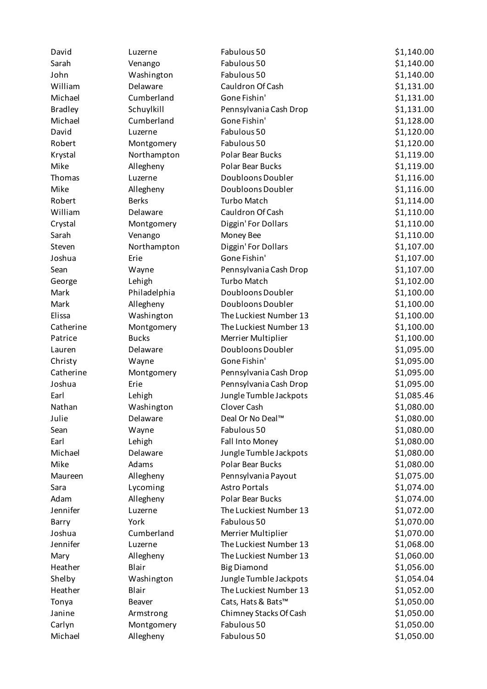| David          | Luzerne      | Fabulous 50             | \$1,140.00 |
|----------------|--------------|-------------------------|------------|
| Sarah          | Venango      | Fabulous 50             | \$1,140.00 |
| John           | Washington   | Fabulous 50             | \$1,140.00 |
| William        | Delaware     | Cauldron Of Cash        | \$1,131.00 |
| Michael        | Cumberland   | Gone Fishin'            | \$1,131.00 |
| <b>Bradley</b> | Schuylkill   | Pennsylvania Cash Drop  | \$1,131.00 |
| Michael        | Cumberland   | Gone Fishin'            | \$1,128.00 |
| David          | Luzerne      | Fabulous 50             | \$1,120.00 |
| Robert         | Montgomery   | Fabulous 50             | \$1,120.00 |
| Krystal        | Northampton  | <b>Polar Bear Bucks</b> | \$1,119.00 |
| Mike           | Allegheny    | Polar Bear Bucks        | \$1,119.00 |
| Thomas         | Luzerne      | Doubloons Doubler       | \$1,116.00 |
| Mike           | Allegheny    | Doubloons Doubler       | \$1,116.00 |
| Robert         | <b>Berks</b> | <b>Turbo Match</b>      | \$1,114.00 |
| William        | Delaware     | Cauldron Of Cash        | \$1,110.00 |
| Crystal        | Montgomery   | Diggin' For Dollars     | \$1,110.00 |
| Sarah          | Venango      | Money Bee               | \$1,110.00 |
| Steven         | Northampton  | Diggin' For Dollars     | \$1,107.00 |
| Joshua         | Erie         | Gone Fishin'            | \$1,107.00 |
| Sean           | Wayne        | Pennsylvania Cash Drop  | \$1,107.00 |
| George         | Lehigh       | <b>Turbo Match</b>      | \$1,102.00 |
| Mark           | Philadelphia | Doubloons Doubler       | \$1,100.00 |
| Mark           | Allegheny    | Doubloons Doubler       | \$1,100.00 |
| Elissa         | Washington   | The Luckiest Number 13  | \$1,100.00 |
| Catherine      | Montgomery   | The Luckiest Number 13  | \$1,100.00 |
| Patrice        | <b>Bucks</b> | Merrier Multiplier      | \$1,100.00 |
| Lauren         | Delaware     | Doubloons Doubler       | \$1,095.00 |
| Christy        | Wayne        | Gone Fishin'            | \$1,095.00 |
| Catherine      | Montgomery   | Pennsylvania Cash Drop  | \$1,095.00 |
| Joshua         | Erie         | Pennsylvania Cash Drop  | \$1,095.00 |
| Earl           | Lehigh       | Jungle Tumble Jackpots  | \$1,085.46 |
| Nathan         | Washington   | Clover Cash             | \$1,080.00 |
| Julie          | Delaware     | Deal Or No Deal™        | \$1,080.00 |
| Sean           | Wayne        | Fabulous 50             | \$1,080.00 |
| Earl           | Lehigh       | Fall Into Money         | \$1,080.00 |
| Michael        | Delaware     | Jungle Tumble Jackpots  | \$1,080.00 |
| Mike           | Adams        | Polar Bear Bucks        | \$1,080.00 |
| Maureen        | Allegheny    | Pennsylvania Payout     | \$1,075.00 |
| Sara           | Lycoming     | <b>Astro Portals</b>    | \$1,074.00 |
| Adam           | Allegheny    | Polar Bear Bucks        | \$1,074.00 |
| Jennifer       | Luzerne      | The Luckiest Number 13  | \$1,072.00 |
| Barry          | York         | Fabulous 50             | \$1,070.00 |
| Joshua         | Cumberland   | Merrier Multiplier      | \$1,070.00 |
| Jennifer       | Luzerne      | The Luckiest Number 13  | \$1,068.00 |
| Mary           | Allegheny    | The Luckiest Number 13  | \$1,060.00 |
| Heather        | Blair        | <b>Big Diamond</b>      | \$1,056.00 |
| Shelby         | Washington   | Jungle Tumble Jackpots  | \$1,054.04 |
| Heather        | Blair        | The Luckiest Number 13  | \$1,052.00 |
| Tonya          | Beaver       | Cats, Hats & Bats™      | \$1,050.00 |
| Janine         | Armstrong    | Chimney Stacks Of Cash  | \$1,050.00 |
| Carlyn         | Montgomery   | Fabulous 50             | \$1,050.00 |
| Michael        | Allegheny    | Fabulous 50             | \$1,050.00 |
|                |              |                         |            |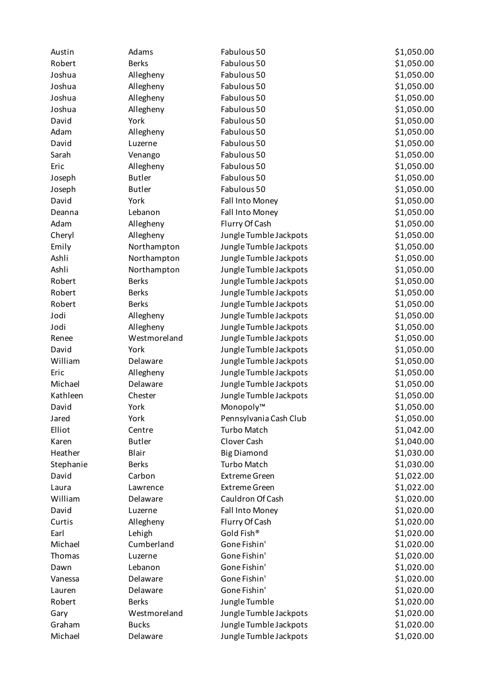| Austin    | Adams         | Fabulous 50            | \$1,050.00 |
|-----------|---------------|------------------------|------------|
| Robert    | <b>Berks</b>  | Fabulous 50            | \$1,050.00 |
| Joshua    | Allegheny     | Fabulous 50            | \$1,050.00 |
| Joshua    | Allegheny     | Fabulous 50            | \$1,050.00 |
| Joshua    | Allegheny     | Fabulous 50            | \$1,050.00 |
| Joshua    | Allegheny     | Fabulous 50            | \$1,050.00 |
| David     | York          | Fabulous 50            | \$1,050.00 |
| Adam      | Allegheny     | Fabulous 50            | \$1,050.00 |
| David     | Luzerne       | Fabulous 50            | \$1,050.00 |
| Sarah     | Venango       | Fabulous 50            | \$1,050.00 |
| Eric      | Allegheny     | Fabulous 50            | \$1,050.00 |
| Joseph    | <b>Butler</b> | Fabulous 50            | \$1,050.00 |
| Joseph    | <b>Butler</b> | Fabulous 50            | \$1,050.00 |
| David     | York          | Fall Into Money        | \$1,050.00 |
| Deanna    | Lebanon       | Fall Into Money        | \$1,050.00 |
| Adam      | Allegheny     | Flurry Of Cash         | \$1,050.00 |
| Cheryl    | Allegheny     | Jungle Tumble Jackpots | \$1,050.00 |
| Emily     | Northampton   | Jungle Tumble Jackpots | \$1,050.00 |
| Ashli     | Northampton   | Jungle Tumble Jackpots | \$1,050.00 |
| Ashli     | Northampton   | Jungle Tumble Jackpots | \$1,050.00 |
| Robert    | <b>Berks</b>  | Jungle Tumble Jackpots | \$1,050.00 |
| Robert    | <b>Berks</b>  | Jungle Tumble Jackpots | \$1,050.00 |
| Robert    | <b>Berks</b>  | Jungle Tumble Jackpots | \$1,050.00 |
| Jodi      | Allegheny     | Jungle Tumble Jackpots | \$1,050.00 |
| Jodi      | Allegheny     | Jungle Tumble Jackpots | \$1,050.00 |
| Renee     | Westmoreland  | Jungle Tumble Jackpots | \$1,050.00 |
| David     | York          | Jungle Tumble Jackpots | \$1,050.00 |
| William   | Delaware      | Jungle Tumble Jackpots | \$1,050.00 |
| Eric      | Allegheny     | Jungle Tumble Jackpots | \$1,050.00 |
| Michael   | Delaware      | Jungle Tumble Jackpots | \$1,050.00 |
| Kathleen  | Chester       | Jungle Tumble Jackpots | \$1,050.00 |
| David     | York          | Monopoly™              | \$1,050.00 |
| Jared     | York          | Pennsylvania Cash Club | \$1,050.00 |
| Elliot    | Centre        | <b>Turbo Match</b>     | \$1,042.00 |
| Karen     | <b>Butler</b> | Clover Cash            | \$1,040.00 |
| Heather   | Blair         | <b>Big Diamond</b>     | \$1,030.00 |
| Stephanie | <b>Berks</b>  | <b>Turbo Match</b>     | \$1,030.00 |
| David     | Carbon        | <b>Extreme Green</b>   | \$1,022.00 |
| Laura     | Lawrence      | <b>Extreme Green</b>   | \$1,022.00 |
| William   | Delaware      | Cauldron Of Cash       | \$1,020.00 |
| David     | Luzerne       | Fall Into Money        | \$1,020.00 |
| Curtis    | Allegheny     | Flurry Of Cash         | \$1,020.00 |
| Earl      | Lehigh        | Gold Fish®             | \$1,020.00 |
| Michael   | Cumberland    | Gone Fishin'           | \$1,020.00 |
| Thomas    | Luzerne       | Gone Fishin'           | \$1,020.00 |
| Dawn      | Lebanon       | Gone Fishin'           | \$1,020.00 |
| Vanessa   | Delaware      | Gone Fishin'           | \$1,020.00 |
| Lauren    | Delaware      | Gone Fishin'           | \$1,020.00 |
| Robert    | <b>Berks</b>  | Jungle Tumble          | \$1,020.00 |
| Gary      | Westmoreland  | Jungle Tumble Jackpots | \$1,020.00 |
| Graham    | <b>Bucks</b>  | Jungle Tumble Jackpots | \$1,020.00 |
| Michael   | Delaware      | Jungle Tumble Jackpots | \$1,020.00 |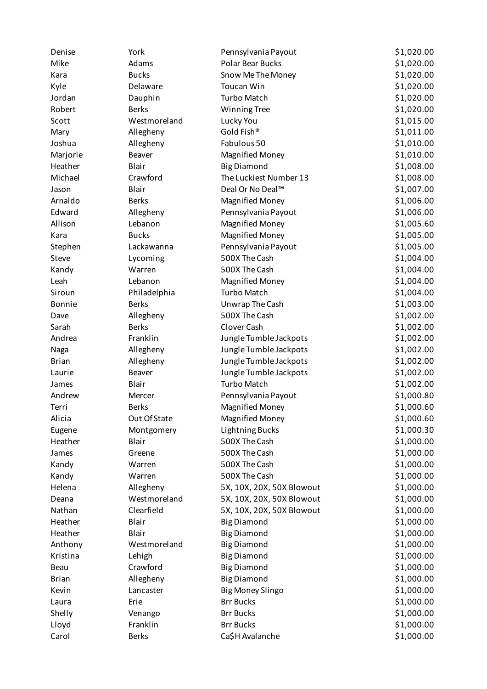| Denise          | York                      | Pennsylvania Payout       | \$1,020.00 |
|-----------------|---------------------------|---------------------------|------------|
| Mike            | Adams                     | <b>Polar Bear Bucks</b>   | \$1,020.00 |
| Kara            | <b>Bucks</b>              | Snow Me The Money         | \$1,020.00 |
| Kyle            | Delaware                  | Toucan Win                | \$1,020.00 |
| Jordan          | Dauphin                   | <b>Turbo Match</b>        | \$1,020.00 |
| Robert          | <b>Berks</b>              | <b>Winning Tree</b>       | \$1,020.00 |
| Scott           | Westmoreland              | Lucky You                 | \$1,015.00 |
| Mary            | Allegheny                 | Gold Fish®                | \$1,011.00 |
| Joshua          | Allegheny                 | Fabulous 50               | \$1,010.00 |
| Marjorie        | Beaver                    | <b>Magnified Money</b>    | \$1,010.00 |
| Heather         | Blair                     | <b>Big Diamond</b>        | \$1,008.00 |
| Michael         | Crawford                  | The Luckiest Number 13    | \$1,008.00 |
| Jason           | Blair                     | Deal Or No Deal™          | \$1,007.00 |
| Arnaldo         | <b>Berks</b>              | <b>Magnified Money</b>    | \$1,006.00 |
| Edward          | Allegheny                 | Pennsylvania Payout       | \$1,006.00 |
| Allison         | Lebanon                   | <b>Magnified Money</b>    | \$1,005.60 |
| Kara            | <b>Bucks</b>              | <b>Magnified Money</b>    | \$1,005.00 |
| Stephen         | Lackawanna                | Pennsylvania Payout       | \$1,005.00 |
| Steve           | Lycoming                  | 500X The Cash             | \$1,004.00 |
| Kandy           | Warren                    | 500X The Cash             | \$1,004.00 |
| Leah            | Lebanon                   | <b>Magnified Money</b>    | \$1,004.00 |
| Siroun          | Philadelphia              | <b>Turbo Match</b>        | \$1,004.00 |
| Bonnie          | <b>Berks</b>              | Unwrap The Cash           | \$1,003.00 |
| Dave            | Allegheny                 | 500X The Cash             | \$1,002.00 |
| Sarah           | <b>Berks</b>              | Clover Cash               | \$1,002.00 |
| Andrea          | Franklin                  | Jungle Tumble Jackpots    | \$1,002.00 |
| Naga            | Allegheny                 | Jungle Tumble Jackpots    | \$1,002.00 |
| <b>Brian</b>    | Allegheny                 | Jungle Tumble Jackpots    | \$1,002.00 |
| Laurie          | Beaver                    | Jungle Tumble Jackpots    | \$1,002.00 |
| James           | Blair                     | <b>Turbo Match</b>        | \$1,002.00 |
| Andrew          | Mercer                    | Pennsylvania Payout       | \$1,000.80 |
| Terri           | <b>Berks</b>              | <b>Magnified Money</b>    | \$1,000.60 |
| Alicia          | Out Of State              | <b>Magnified Money</b>    | \$1,000.60 |
| Eugene          | Montgomery                | <b>Lightning Bucks</b>    | \$1,000.30 |
| Heather         | Blair                     | 500X The Cash             | \$1,000.00 |
| James           | Greene                    | 500X The Cash             | \$1,000.00 |
| Kandy           | Warren                    | 500X The Cash             | \$1,000.00 |
|                 | Warren                    | 500X The Cash             | \$1,000.00 |
| Kandy<br>Helena |                           | 5X, 10X, 20X, 50X Blowout | \$1,000.00 |
| Deana           | Allegheny<br>Westmoreland |                           | \$1,000.00 |
|                 |                           | 5X, 10X, 20X, 50X Blowout |            |
| Nathan          | Clearfield                | 5X, 10X, 20X, 50X Blowout | \$1,000.00 |
| Heather         | Blair                     | <b>Big Diamond</b>        | \$1,000.00 |
| Heather         | Blair                     | <b>Big Diamond</b>        | \$1,000.00 |
| Anthony         | Westmoreland              | <b>Big Diamond</b>        | \$1,000.00 |
| Kristina        | Lehigh                    | <b>Big Diamond</b>        | \$1,000.00 |
| Beau            | Crawford                  | <b>Big Diamond</b>        | \$1,000.00 |
| <b>Brian</b>    | Allegheny                 | <b>Big Diamond</b>        | \$1,000.00 |
| Kevin           | Lancaster                 | <b>Big Money Slingo</b>   | \$1,000.00 |
| Laura           | Erie                      | <b>Brr Bucks</b>          | \$1,000.00 |
| Shelly          | Venango                   | <b>Brr Bucks</b>          | \$1,000.00 |
| Lloyd           | Franklin                  | <b>Brr Bucks</b>          | \$1,000.00 |
| Carol           | <b>Berks</b>              | Ca\$H Avalanche           | \$1,000.00 |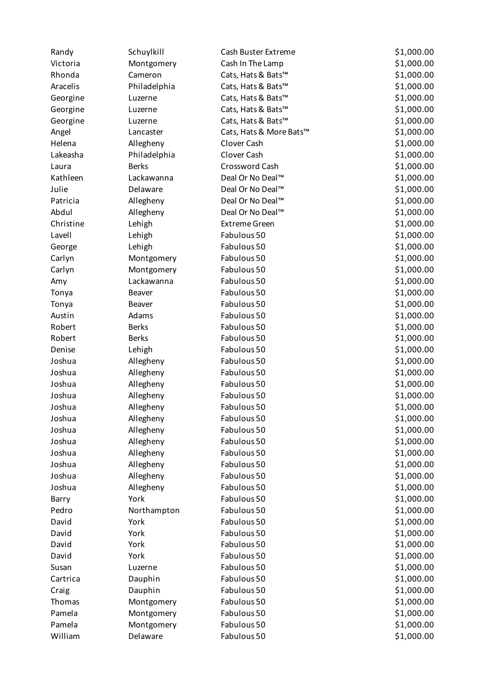| Randy     | Schuylkill   | Cash Buster Extreme     | \$1,000.00 |
|-----------|--------------|-------------------------|------------|
| Victoria  | Montgomery   | Cash In The Lamp        | \$1,000.00 |
| Rhonda    | Cameron      | Cats, Hats & Bats™      | \$1,000.00 |
| Aracelis  | Philadelphia | Cats, Hats & Bats™      | \$1,000.00 |
| Georgine  | Luzerne      | Cats, Hats & Bats™      | \$1,000.00 |
| Georgine  | Luzerne      | Cats, Hats & Bats™      | \$1,000.00 |
| Georgine  | Luzerne      | Cats, Hats & Bats™      | \$1,000.00 |
| Angel     | Lancaster    | Cats, Hats & More Bats™ | \$1,000.00 |
| Helena    | Allegheny    | Clover Cash             | \$1,000.00 |
| Lakeasha  | Philadelphia | Clover Cash             | \$1,000.00 |
| Laura     | <b>Berks</b> | Crossword Cash          | \$1,000.00 |
| Kathleen  | Lackawanna   | Deal Or No Deal™        | \$1,000.00 |
| Julie     | Delaware     | Deal Or No Deal™        | \$1,000.00 |
| Patricia  | Allegheny    | Deal Or No Deal™        | \$1,000.00 |
| Abdul     | Allegheny    | Deal Or No Deal™        | \$1,000.00 |
| Christine | Lehigh       | <b>Extreme Green</b>    | \$1,000.00 |
| Lavell    | Lehigh       | Fabulous 50             | \$1,000.00 |
| George    | Lehigh       | Fabulous 50             | \$1,000.00 |
| Carlyn    | Montgomery   | Fabulous 50             | \$1,000.00 |
| Carlyn    | Montgomery   | Fabulous 50             | \$1,000.00 |
| Amy       | Lackawanna   | Fabulous 50             | \$1,000.00 |
| Tonya     | Beaver       | Fabulous 50             | \$1,000.00 |
| Tonya     | Beaver       | Fabulous 50             | \$1,000.00 |
| Austin    | Adams        | Fabulous 50             | \$1,000.00 |
| Robert    | <b>Berks</b> | Fabulous 50             | \$1,000.00 |
| Robert    | <b>Berks</b> | Fabulous 50             | \$1,000.00 |
| Denise    | Lehigh       | Fabulous 50             | \$1,000.00 |
| Joshua    | Allegheny    | Fabulous 50             | \$1,000.00 |
| Joshua    | Allegheny    | Fabulous 50             | \$1,000.00 |
| Joshua    | Allegheny    | Fabulous 50             | \$1,000.00 |
| Joshua    | Allegheny    | Fabulous 50             | \$1,000.00 |
| Joshua    | Allegheny    | Fabulous 50             | \$1,000.00 |
| Joshua    | Allegheny    | Fabulous 50             | \$1,000.00 |
| Joshua    | Allegheny    | Fabulous 50             | \$1,000.00 |
| Joshua    | Allegheny    | Fabulous 50             | \$1,000.00 |
| Joshua    | Allegheny    | Fabulous 50             | \$1,000.00 |
| Joshua    | Allegheny    | Fabulous 50             | \$1,000.00 |
| Joshua    | Allegheny    | Fabulous 50             | \$1,000.00 |
| Joshua    | Allegheny    | Fabulous 50             | \$1,000.00 |
| Barry     | York         | Fabulous 50             | \$1,000.00 |
| Pedro     | Northampton  | Fabulous 50             | \$1,000.00 |
| David     | York         | Fabulous 50             | \$1,000.00 |
| David     | York         | Fabulous 50             | \$1,000.00 |
| David     | York         | Fabulous 50             | \$1,000.00 |
| David     | York         | Fabulous 50             | \$1,000.00 |
| Susan     | Luzerne      | Fabulous 50             | \$1,000.00 |
| Cartrica  | Dauphin      | Fabulous 50             | \$1,000.00 |
| Craig     | Dauphin      | Fabulous 50             | \$1,000.00 |
| Thomas    | Montgomery   | Fabulous 50             | \$1,000.00 |
| Pamela    | Montgomery   | Fabulous 50             | \$1,000.00 |
| Pamela    | Montgomery   | Fabulous 50             | \$1,000.00 |
| William   | Delaware     | Fabulous 50             | \$1,000.00 |
|           |              |                         |            |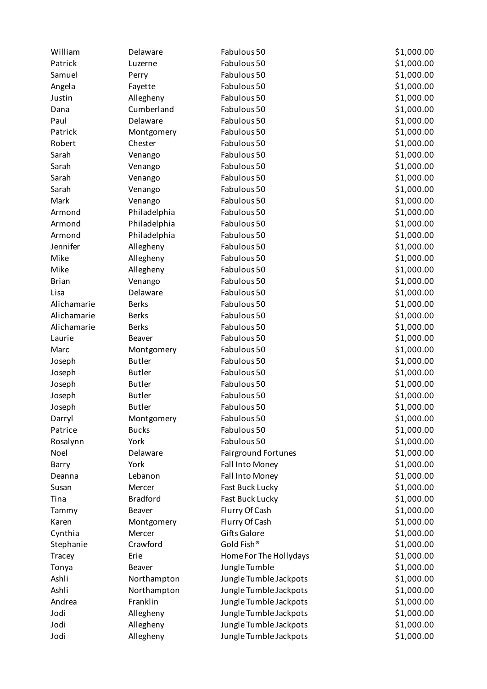| William      | Delaware        | Fabulous 50                | \$1,000.00 |
|--------------|-----------------|----------------------------|------------|
| Patrick      | Luzerne         | Fabulous 50                | \$1,000.00 |
| Samuel       | Perry           | Fabulous 50                | \$1,000.00 |
| Angela       | Fayette         | Fabulous 50                | \$1,000.00 |
| Justin       | Allegheny       | Fabulous 50                | \$1,000.00 |
| Dana         | Cumberland      | Fabulous 50                | \$1,000.00 |
| Paul         | Delaware        | Fabulous 50                | \$1,000.00 |
| Patrick      | Montgomery      | Fabulous 50                | \$1,000.00 |
| Robert       | Chester         | Fabulous 50                | \$1,000.00 |
| Sarah        | Venango         | Fabulous 50                | \$1,000.00 |
| Sarah        | Venango         | Fabulous 50                | \$1,000.00 |
| Sarah        | Venango         | Fabulous 50                | \$1,000.00 |
| Sarah        | Venango         | Fabulous 50                | \$1,000.00 |
| Mark         | Venango         | Fabulous 50                | \$1,000.00 |
| Armond       | Philadelphia    | Fabulous 50                | \$1,000.00 |
| Armond       | Philadelphia    | Fabulous 50                | \$1,000.00 |
| Armond       | Philadelphia    | Fabulous 50                | \$1,000.00 |
| Jennifer     | Allegheny       | Fabulous 50                | \$1,000.00 |
| Mike         | Allegheny       | Fabulous 50                | \$1,000.00 |
| Mike         | Allegheny       | Fabulous 50                | \$1,000.00 |
| <b>Brian</b> | Venango         | Fabulous 50                | \$1,000.00 |
| Lisa         | Delaware        | Fabulous 50                | \$1,000.00 |
| Alichamarie  | <b>Berks</b>    | Fabulous 50                | \$1,000.00 |
| Alichamarie  | <b>Berks</b>    | Fabulous 50                | \$1,000.00 |
| Alichamarie  | <b>Berks</b>    | Fabulous 50                | \$1,000.00 |
| Laurie       | Beaver          | Fabulous 50                | \$1,000.00 |
| Marc         | Montgomery      | Fabulous 50                | \$1,000.00 |
| Joseph       | <b>Butler</b>   | Fabulous 50                | \$1,000.00 |
| Joseph       | <b>Butler</b>   | Fabulous 50                | \$1,000.00 |
| Joseph       | <b>Butler</b>   | Fabulous 50                | \$1,000.00 |
| Joseph       | <b>Butler</b>   | Fabulous 50                | \$1,000.00 |
| Joseph       | <b>Butler</b>   | Fabulous 50                | \$1,000.00 |
| Darryl       | Montgomery      | Fabulous 50                | \$1,000.00 |
| Patrice      | <b>Bucks</b>    | Fabulous 50                | \$1,000.00 |
| Rosalynn     | York            | Fabulous 50                | \$1,000.00 |
| Noel         | Delaware        | <b>Fairground Fortunes</b> | \$1,000.00 |
| Barry        | York            | Fall Into Money            | \$1,000.00 |
| Deanna       | Lebanon         | Fall Into Money            | \$1,000.00 |
| Susan        | Mercer          | Fast Buck Lucky            | \$1,000.00 |
| Tina         | <b>Bradford</b> | Fast Buck Lucky            | \$1,000.00 |
| Tammy        | Beaver          | Flurry Of Cash             | \$1,000.00 |
| Karen        | Montgomery      | Flurry Of Cash             | \$1,000.00 |
| Cynthia      | Mercer          | <b>Gifts Galore</b>        | \$1,000.00 |
| Stephanie    | Crawford        | Gold Fish®                 | \$1,000.00 |
| Tracey       | Erie            | Home For The Hollydays     | \$1,000.00 |
| Tonya        | Beaver          | Jungle Tumble              | \$1,000.00 |
| Ashli        | Northampton     | Jungle Tumble Jackpots     | \$1,000.00 |
| Ashli        | Northampton     | Jungle Tumble Jackpots     | \$1,000.00 |
| Andrea       | Franklin        | Jungle Tumble Jackpots     | \$1,000.00 |
| Jodi         | Allegheny       | Jungle Tumble Jackpots     | \$1,000.00 |
| Jodi         | Allegheny       | Jungle Tumble Jackpots     | \$1,000.00 |
| Jodi         | Allegheny       | Jungle Tumble Jackpots     | \$1,000.00 |
|              |                 |                            |            |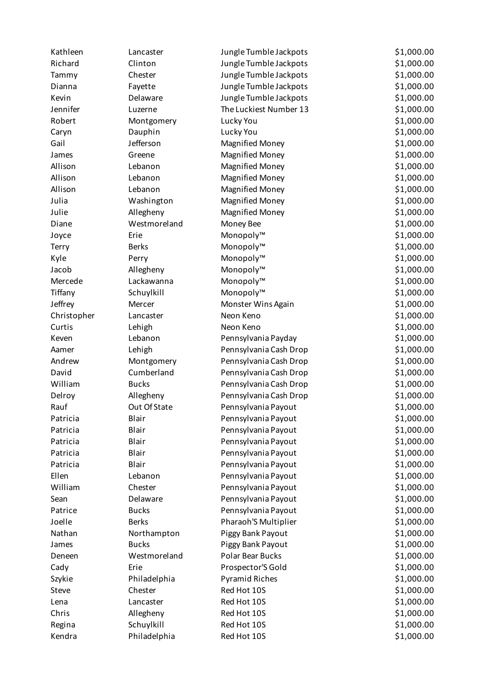| Kathleen    | Lancaster    | Jungle Tumble Jackpots | \$1,000.00 |
|-------------|--------------|------------------------|------------|
| Richard     | Clinton      | Jungle Tumble Jackpots | \$1,000.00 |
| Tammy       | Chester      | Jungle Tumble Jackpots | \$1,000.00 |
| Dianna      | Fayette      | Jungle Tumble Jackpots | \$1,000.00 |
| Kevin       | Delaware     | Jungle Tumble Jackpots | \$1,000.00 |
| Jennifer    | Luzerne      | The Luckiest Number 13 | \$1,000.00 |
| Robert      | Montgomery   | Lucky You              | \$1,000.00 |
| Caryn       | Dauphin      | Lucky You              | \$1,000.00 |
| Gail        | Jefferson    | <b>Magnified Money</b> | \$1,000.00 |
| James       | Greene       | <b>Magnified Money</b> | \$1,000.00 |
| Allison     | Lebanon      | <b>Magnified Money</b> | \$1,000.00 |
| Allison     | Lebanon      | <b>Magnified Money</b> | \$1,000.00 |
| Allison     | Lebanon      | <b>Magnified Money</b> | \$1,000.00 |
| Julia       | Washington   | <b>Magnified Money</b> | \$1,000.00 |
| Julie       | Allegheny    | <b>Magnified Money</b> | \$1,000.00 |
| Diane       | Westmoreland | Money Bee              | \$1,000.00 |
| Joyce       | Erie         | Monopoly™              | \$1,000.00 |
| Terry       | <b>Berks</b> | Monopoly™              | \$1,000.00 |
| Kyle        | Perry        | Monopoly™              | \$1,000.00 |
| Jacob       | Allegheny    | Monopoly™              | \$1,000.00 |
| Mercede     | Lackawanna   | Monopoly™              | \$1,000.00 |
| Tiffany     | Schuylkill   | Monopoly™              | \$1,000.00 |
| Jeffrey     | Mercer       | Monster Wins Again     | \$1,000.00 |
| Christopher | Lancaster    | Neon Keno              | \$1,000.00 |
| Curtis      | Lehigh       | Neon Keno              | \$1,000.00 |
| Keven       | Lebanon      | Pennsylvania Payday    | \$1,000.00 |
| Aamer       | Lehigh       | Pennsylvania Cash Drop | \$1,000.00 |
| Andrew      | Montgomery   | Pennsylvania Cash Drop | \$1,000.00 |
| David       | Cumberland   | Pennsylvania Cash Drop | \$1,000.00 |
| William     | <b>Bucks</b> | Pennsylvania Cash Drop | \$1,000.00 |
| Delroy      | Allegheny    | Pennsylvania Cash Drop | \$1,000.00 |
| Rauf        | Out Of State | Pennsylvania Payout    | \$1,000.00 |
| Patricia    | Blair        | Pennsylvania Payout    | \$1,000.00 |
| Patricia    | Blair        | Pennsylvania Payout    | \$1,000.00 |
| Patricia    | Blair        | Pennsylvania Payout    | \$1,000.00 |
| Patricia    | Blair        | Pennsylvania Payout    | \$1,000.00 |
| Patricia    | Blair        | Pennsylvania Payout    | \$1,000.00 |
| Ellen       | Lebanon      | Pennsylvania Payout    | \$1,000.00 |
| William     | Chester      | Pennsylvania Payout    | \$1,000.00 |
| Sean        | Delaware     | Pennsylvania Payout    | \$1,000.00 |
| Patrice     | <b>Bucks</b> | Pennsylvania Payout    | \$1,000.00 |
| Joelle      | <b>Berks</b> | Pharaoh'S Multiplier   | \$1,000.00 |
| Nathan      | Northampton  | Piggy Bank Payout      | \$1,000.00 |
| James       | <b>Bucks</b> | Piggy Bank Payout      | \$1,000.00 |
| Deneen      | Westmoreland | Polar Bear Bucks       | \$1,000.00 |
| Cady        | Erie         | Prospector'S Gold      | \$1,000.00 |
| Szykie      | Philadelphia | <b>Pyramid Riches</b>  | \$1,000.00 |
| Steve       | Chester      | Red Hot 10S            | \$1,000.00 |
| Lena        | Lancaster    | Red Hot 10S            | \$1,000.00 |
| Chris       | Allegheny    | Red Hot 10S            | \$1,000.00 |
| Regina      | Schuylkill   | Red Hot 10S            | \$1,000.00 |
| Kendra      | Philadelphia | Red Hot 10S            | \$1,000.00 |
|             |              |                        |            |